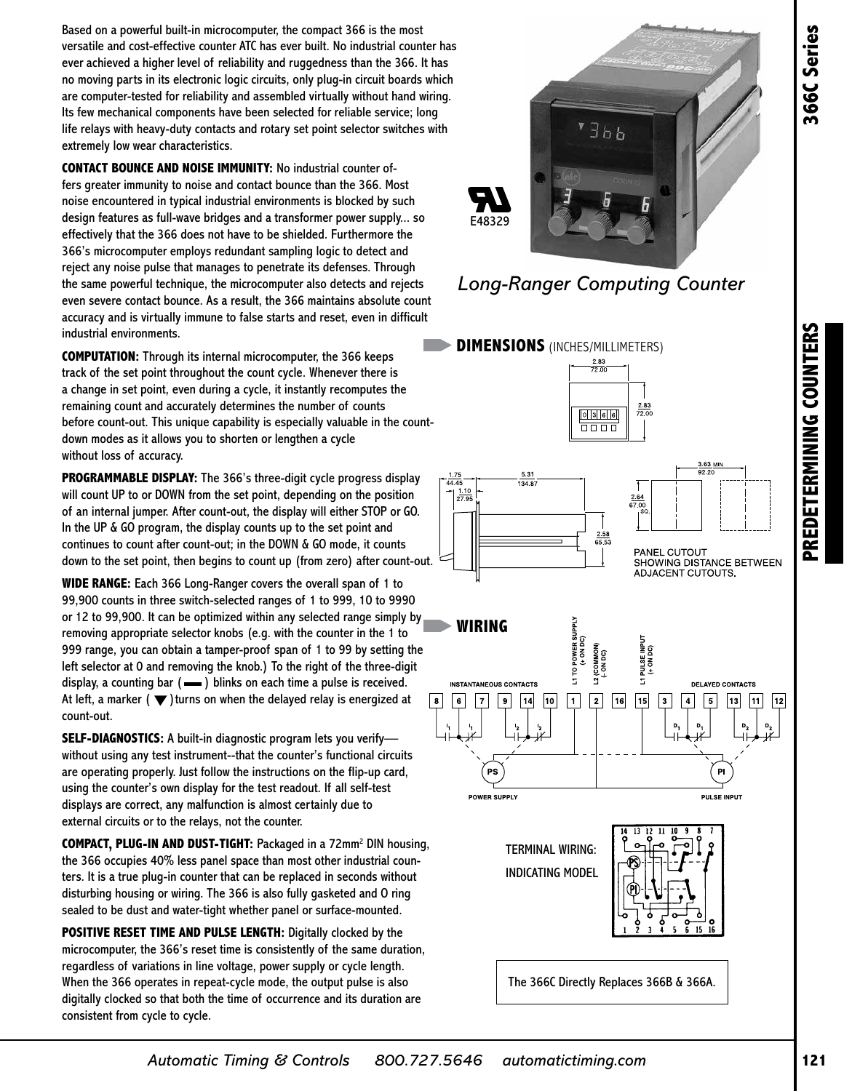Based on a powerful built-in microcomputer, the compact 366 is the most versatile and cost-effective counter ATC has ever built. No industrial counter has ever achieved a higher level of reliability and ruggedness than the 366. It has no moving parts in its electronic logic circuits, only plug-in circuit boards which are computer-tested for reliability and assembled virtually without hand wiring. Its few mechanical components have been selected for reliable service; long life relays with heavy-duty contacts and rotary set point selector switches with extremely low wear characteristics.

**CONTACT BOUNCE AND NOISE IMMUNITY:** No industrial counter offers greater immunity to noise and contact bounce than the 366. Most noise encountered in typical industrial environments is blocked by such design features as full-wave bridges and a transformer power supply... so effectively that the 366 does not have to be shielded. Furthermore the 366's microcomputer employs redundant sampling logic to detect and reject any noise pulse that manages to penetrate its defenses. Through the same powerful technique, the microcomputer also detects and rejects even severe contact bounce. As a result, the 366 maintains absolute count accuracy and is virtually immune to false starts and reset, even in difficult industrial environments.

**COMPUTATION:** Through its internal microcomputer, the 366 keeps track of the set point throughout the count cycle. Whenever there is a change in set point, even during a cycle, it instantly recomputes the remaining count and accurately determines the number of counts before count-out. This unique capability is especially valuable in the countdown modes as it allows you to shorten or lengthen a cycle without loss of accuracy.

**PROGRAMMABLE DISPLAY:** The 366's three-digit cycle progress display will count UP to or DOWN from the set point, depending on the position of an internal jumper. After count-out, the display will either STOP or GO. In the UP & GO program, the display counts up to the set point and continues to count after count-out; in the DOWN & GO mode, it counts down to the set point, then begins to count up (from zero) after count-out.

**WIDE RANGE:** Each 366 Long-Ranger covers the overall span of 1 to 99,900 counts in three switch-selected ranges of 1 to 999, 10 to 9990 or 12 to 99,900. It can be optimized within any selected range simply by removing appropriate selector knobs (e.g. with the counter in the 1 to 999 range, you can obtain a tamper-proof span of 1 to 99 by setting the left selector at 0 and removing the knob.) To the right of the three-digit display, a counting bar  $($   $\equiv$   $)$  blinks on each time a pulse is received. At left, a marker  $(\blacktriangledown)$  turns on when the delayed relay is energized at count-out.

**SELF-DIAGNOSTICS:** A built-in diagnostic program lets you verify without using any test instrument--that the counter's functional circuits are operating properly. Just follow the instructions on the flip-up card, using the counter's own display for the test readout. If all self-test displays are correct, any malfunction is almost certainly due to external circuits or to the relays, not the counter.

**COMPACT, PLUG-IN AND DUST-TIGHT:** Packaged in a 72mm2 DIN housing, the 366 occupies 40% less panel space than most other industrial counters. It is a true plug-in counter that can be replaced in seconds without disturbing housing or wiring. The 366 is also fully gasketed and O ring sealed to be dust and water-tight whether panel or surface-mounted.

**POSITIVE RESET TIME AND PULSE LENGTH:** Digitally clocked by the microcomputer, the 366's reset time is consistently of the same duration, regardless of variations in line voltage, power supply or cycle length. When the 366 operates in repeat-cycle mode, the output pulse is also digitally clocked so that both the time of occurrence and its duration are consistent from cycle to cycle.





**DIMENSIONS** (INCHES/MILLIMETERS)







The 366C Directly Replaces 366B & 366A.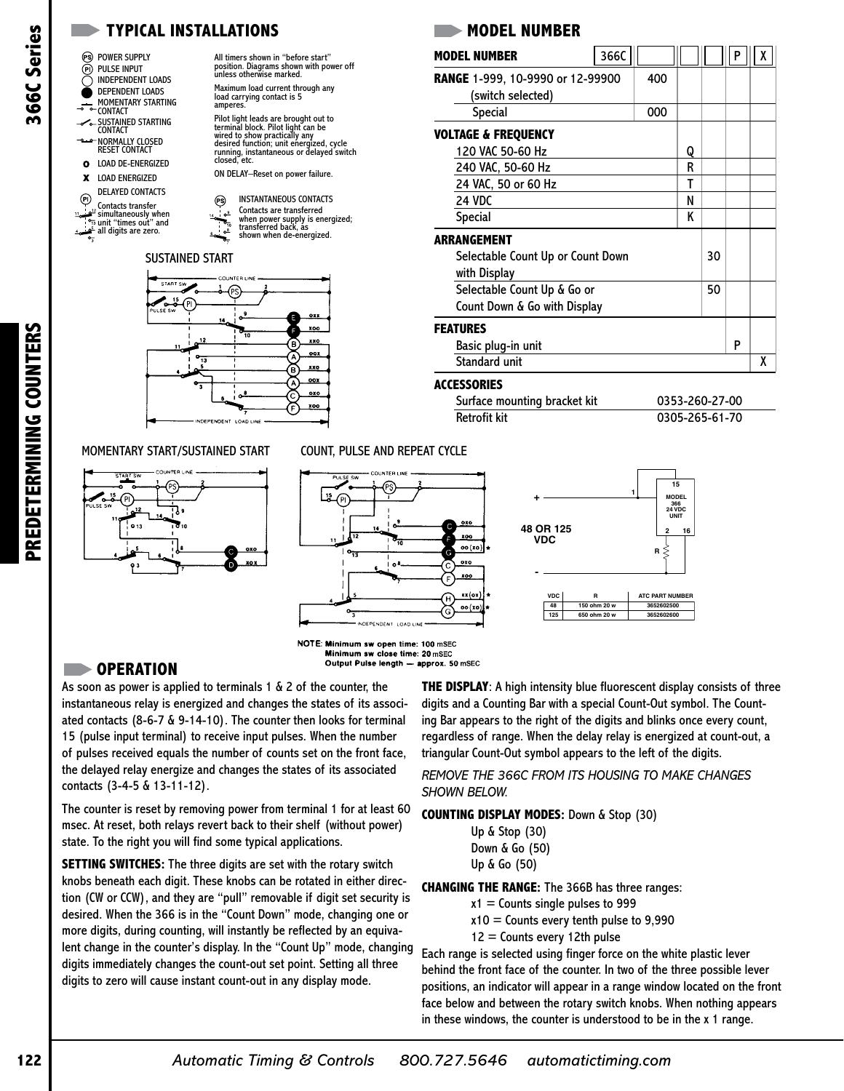# All timers shown in "before start" position. Diagrams shown with power off unless otherwise marked.

- INSTANTANEOUS CONTACTS Contacts are transferred
- when power supply is energized; transferred back, as shown when de-energized.

## SUSTAINED START

**TYPICAL INSTALLATIONS**



## MOMENTARY START/SUSTAINED START COUNT, PULSE AND REPEAT CYCLE



## **MODEL NUMBER**

|                 | TYPICAL INSTALLATIONS                                                                                                                                                                                                                                                                                                                                                                                                                                                                                                                                                                                 |                                                                                                                                                                                                                                                                                                                                                                      | <b>MODEL NUMBER</b>                                                                                                                                                                                                                                                                                                                                                                                            |                                   |                                                         |                |    |   |   |
|-----------------|-------------------------------------------------------------------------------------------------------------------------------------------------------------------------------------------------------------------------------------------------------------------------------------------------------------------------------------------------------------------------------------------------------------------------------------------------------------------------------------------------------------------------------------------------------------------------------------------------------|----------------------------------------------------------------------------------------------------------------------------------------------------------------------------------------------------------------------------------------------------------------------------------------------------------------------------------------------------------------------|----------------------------------------------------------------------------------------------------------------------------------------------------------------------------------------------------------------------------------------------------------------------------------------------------------------------------------------------------------------------------------------------------------------|-----------------------------------|---------------------------------------------------------|----------------|----|---|---|
| Series          | (PS) POWER SUPPLY                                                                                                                                                                                                                                                                                                                                                                                                                                                                                                                                                                                     | All timers shown in "before start"                                                                                                                                                                                                                                                                                                                                   | <b>MODEL NUMBER</b>                                                                                                                                                                                                                                                                                                                                                                                            | 366C                              |                                                         |                |    | P | X |
|                 | (P) Pulse input<br><b>INDEPENDENT LOADS</b>                                                                                                                                                                                                                                                                                                                                                                                                                                                                                                                                                           | position. Diagrams shown with power off<br>unless otherwise marked.                                                                                                                                                                                                                                                                                                  | RANGE 1-999, 10-9990 or 12-99900                                                                                                                                                                                                                                                                                                                                                                               |                                   | 400                                                     |                |    |   |   |
| <b>199</b>      | DEPENDENT LOADS                                                                                                                                                                                                                                                                                                                                                                                                                                                                                                                                                                                       | Maximum load current through any<br>load carrying contact is 5                                                                                                                                                                                                                                                                                                       | (switch selected)                                                                                                                                                                                                                                                                                                                                                                                              |                                   |                                                         |                |    |   |   |
|                 | MOMENTARY STARTING<br>⊸<br>° CONTACT                                                                                                                                                                                                                                                                                                                                                                                                                                                                                                                                                                  | amperes.                                                                                                                                                                                                                                                                                                                                                             | Special                                                                                                                                                                                                                                                                                                                                                                                                        |                                   | 000                                                     |                |    |   |   |
| m               | – SUSTAINED STARTING<br><b>CONTACT</b>                                                                                                                                                                                                                                                                                                                                                                                                                                                                                                                                                                | Pilot light leads are brought out to<br>terminal block. Pilot light can be                                                                                                                                                                                                                                                                                           | <b>VOLTAGE &amp; FREQUENCY</b>                                                                                                                                                                                                                                                                                                                                                                                 |                                   |                                                         |                |    |   |   |
|                 | NORMALLY CLOSED - صف<br><b>RESET CONTACT</b>                                                                                                                                                                                                                                                                                                                                                                                                                                                                                                                                                          | wired to show practically any<br>discrete discrete discrete discrete discrete function; unit energized, cycle<br>running, instantaneous or delayed switch<br>closed, etc.                                                                                                                                                                                            | 120 VAC 50-60 Hz                                                                                                                                                                                                                                                                                                                                                                                               |                                   |                                                         | Q              |    |   |   |
|                 | <b>LOAD DE-ENERGIZED</b><br>$\mathbf o$                                                                                                                                                                                                                                                                                                                                                                                                                                                                                                                                                               |                                                                                                                                                                                                                                                                                                                                                                      | 240 VAC, 50-60 Hz                                                                                                                                                                                                                                                                                                                                                                                              |                                   |                                                         | R              |    |   |   |
|                 | <b>LOAD ENERGIZED</b><br>x                                                                                                                                                                                                                                                                                                                                                                                                                                                                                                                                                                            | ON DELAY-Reset on power failure.                                                                                                                                                                                                                                                                                                                                     | 24 VAC, 50 or 60 Hz                                                                                                                                                                                                                                                                                                                                                                                            |                                   |                                                         | T              |    |   |   |
|                 | <b>DELAYED CONTACTS</b><br>$\left( 0\right)$                                                                                                                                                                                                                                                                                                                                                                                                                                                                                                                                                          | <b>INSTANTANEOUS CONTACTS</b><br>(PS)                                                                                                                                                                                                                                                                                                                                | 24 VDC                                                                                                                                                                                                                                                                                                                                                                                                         |                                   |                                                         | N              |    |   |   |
|                 | Contacts transfer<br>$\frac{1}{2}$ simultaneously when<br>unit "times out" and                                                                                                                                                                                                                                                                                                                                                                                                                                                                                                                        | Contacts are transferred<br>൶<br>when power supply is energized;<br>transferred back, as                                                                                                                                                                                                                                                                             | Special                                                                                                                                                                                                                                                                                                                                                                                                        |                                   |                                                         | Κ              |    |   |   |
|                 | $4\frac{9}{2}$ all digits are zero.                                                                                                                                                                                                                                                                                                                                                                                                                                                                                                                                                                   | shown when de-energized.                                                                                                                                                                                                                                                                                                                                             | <b>ARRANGEMENT</b>                                                                                                                                                                                                                                                                                                                                                                                             |                                   |                                                         |                |    |   |   |
|                 | <b>SUSTAINED START</b>                                                                                                                                                                                                                                                                                                                                                                                                                                                                                                                                                                                |                                                                                                                                                                                                                                                                                                                                                                      | Selectable Count Up or Count Down                                                                                                                                                                                                                                                                                                                                                                              |                                   |                                                         |                | 30 |   |   |
|                 |                                                                                                                                                                                                                                                                                                                                                                                                                                                                                                                                                                                                       |                                                                                                                                                                                                                                                                                                                                                                      | with Display                                                                                                                                                                                                                                                                                                                                                                                                   |                                   |                                                         |                |    |   |   |
|                 | COUNTER LINE<br>START SW                                                                                                                                                                                                                                                                                                                                                                                                                                                                                                                                                                              |                                                                                                                                                                                                                                                                                                                                                                      | Selectable Count Up & Go or                                                                                                                                                                                                                                                                                                                                                                                    |                                   |                                                         |                |    |   |   |
|                 | • 15<br>ULSE SW                                                                                                                                                                                                                                                                                                                                                                                                                                                                                                                                                                                       |                                                                                                                                                                                                                                                                                                                                                                      | Count Down & Go with Display                                                                                                                                                                                                                                                                                                                                                                                   |                                   |                                                         |                |    |   |   |
|                 |                                                                                                                                                                                                                                                                                                                                                                                                                                                                                                                                                                                                       | oxi<br>14<br><b>XOO</b>                                                                                                                                                                                                                                                                                                                                              | <b>FEATURES</b>                                                                                                                                                                                                                                                                                                                                                                                                |                                   |                                                         |                |    |   |   |
|                 |                                                                                                                                                                                                                                                                                                                                                                                                                                                                                                                                                                                                       | 10<br><b>XXO</b><br>в                                                                                                                                                                                                                                                                                                                                                | Basic plug-in unit                                                                                                                                                                                                                                                                                                                                                                                             |                                   |                                                         |                |    | P |   |
| <b>COUNTERS</b> |                                                                                                                                                                                                                                                                                                                                                                                                                                                                                                                                                                                                       | <b>00X</b><br>13<br>xx0                                                                                                                                                                                                                                                                                                                                              | Standard unit                                                                                                                                                                                                                                                                                                                                                                                                  |                                   |                                                         |                |    |   | χ |
|                 |                                                                                                                                                                                                                                                                                                                                                                                                                                                                                                                                                                                                       | B<br>$_{\text{oox}}$                                                                                                                                                                                                                                                                                                                                                 | <b>ACCESSORIES</b>                                                                                                                                                                                                                                                                                                                                                                                             |                                   |                                                         |                |    |   |   |
|                 |                                                                                                                                                                                                                                                                                                                                                                                                                                                                                                                                                                                                       | $_{010}$                                                                                                                                                                                                                                                                                                                                                             | Surface mounting bracket kit                                                                                                                                                                                                                                                                                                                                                                                   |                                   |                                                         | 0353-260-27-00 |    |   |   |
|                 |                                                                                                                                                                                                                                                                                                                                                                                                                                                                                                                                                                                                       | xoo<br>INDEPENDENT LOAD LINE                                                                                                                                                                                                                                                                                                                                         | Retrofit kit                                                                                                                                                                                                                                                                                                                                                                                                   |                                   |                                                         | 0305-265-61-70 |    |   |   |
| PREDETERMINING  |                                                                                                                                                                                                                                                                                                                                                                                                                                                                                                                                                                                                       |                                                                                                                                                                                                                                                                                                                                                                      |                                                                                                                                                                                                                                                                                                                                                                                                                |                                   |                                                         |                |    |   |   |
|                 |                                                                                                                                                                                                                                                                                                                                                                                                                                                                                                                                                                                                       | ۰<br>⊶<br>INDEPENDENT LOAD LINE<br>NOTE: Minimum sw open time: 100 mSEC                                                                                                                                                                                                                                                                                              | oxo<br>C<br>xoo<br>xx(ox)<br><b>VDC</b><br>Ή<br>48<br>oo(xo)<br>G<br>125                                                                                                                                                                                                                                                                                                                                       | R<br>150 ohm 20 w<br>650 ohm 20 w | $R \leq$<br>ATC PART NUMBER<br>3652602500<br>3652602600 |                |    |   |   |
|                 | <b>OPERATION</b>                                                                                                                                                                                                                                                                                                                                                                                                                                                                                                                                                                                      | Minimum sw close time: 20 mSEC                                                                                                                                                                                                                                                                                                                                       | Output Pulse length - approx. 50 mSEC                                                                                                                                                                                                                                                                                                                                                                          |                                   |                                                         |                |    |   |   |
|                 |                                                                                                                                                                                                                                                                                                                                                                                                                                                                                                                                                                                                       | As soon as power is applied to terminals $1 \& 2$ of the counter, the                                                                                                                                                                                                                                                                                                | <b>THE DISPLAY:</b> A high intensity blue fluorescent display consists of thre                                                                                                                                                                                                                                                                                                                                 |                                   |                                                         |                |    |   |   |
|                 | contacts (3-4-5 & 13-11-12).                                                                                                                                                                                                                                                                                                                                                                                                                                                                                                                                                                          | instantaneous relay is energized and changes the states of its associ-<br>ated contacts (8-6-7 & 9-14-10). The counter then looks for terminal<br>15 (pulse input terminal) to receive input pulses. When the number<br>of pulses received equals the number of counts set on the front face,<br>the delayed relay energize and changes the states of its associated | digits and a Counting Bar with a special Count-Out symbol. The Count-<br>ing Bar appears to the right of the digits and blinks once every count,<br>regardless of range. When the delay relay is energized at count-out, a<br>triangular Count-Out symbol appears to the left of the digits.<br>REMOVE THE 366C FROM ITS HOUSING TO MAKE CHANGES<br><b>SHOWN BELOW.</b>                                        |                                   |                                                         |                |    |   |   |
|                 |                                                                                                                                                                                                                                                                                                                                                                                                                                                                                                                                                                                                       | The counter is reset by removing power from terminal 1 for at least 60<br>msec. At reset, both relays revert back to their shelf (without power)<br>state. To the right you will find some typical applications.                                                                                                                                                     | <b>COUNTING DISPLAY MODES: Down &amp; Stop (30)</b><br>Up & Stop (30)<br>Down & Go (50)                                                                                                                                                                                                                                                                                                                        |                                   |                                                         |                |    |   |   |
|                 | <b>SETTING SWITCHES:</b> The three digits are set with the rotary switch<br>knobs beneath each digit. These knobs can be rotated in either direc-<br>tion (CW or CCW), and they are "pull" removable if digit set security is<br>desired. When the 366 is in the "Count Down" mode, changing one or<br>more digits, during counting, will instantly be reflected by an equiva-<br>lent change in the counter's display. In the "Count Up" mode, changing<br>digits immediately changes the count-out set point. Setting all three<br>digits to zero will cause instant count-out in any display mode. |                                                                                                                                                                                                                                                                                                                                                                      | Up & Go (50)<br><b>CHANGING THE RANGE:</b> The 366B has three ranges:<br>$x1 =$ Counts single pulses to 999<br>$x10 =$ Counts every tenth pulse to 9,990                                                                                                                                                                                                                                                       |                                   |                                                         |                |    |   |   |
|                 |                                                                                                                                                                                                                                                                                                                                                                                                                                                                                                                                                                                                       |                                                                                                                                                                                                                                                                                                                                                                      | $12 =$ Counts every 12th pulse<br>Each range is selected using finger force on the white plastic lever<br>behind the front face of the counter. In two of the three possible lever<br>positions, an indicator will appear in a range window located on the fror<br>face below and between the rotary switch knobs. When nothing appears<br>in these windows, the counter is understood to be in the x 1 range. |                                   |                                                         |                |    |   |   |
| 122             |                                                                                                                                                                                                                                                                                                                                                                                                                                                                                                                                                                                                       | <b>Automatic Timing &amp; Controls</b>                                                                                                                                                                                                                                                                                                                               | automatictiming.com<br>800.727.5646                                                                                                                                                                                                                                                                                                                                                                            |                                   |                                                         |                |    |   |   |

## **ACCESSORIES**

| Surface mounting bracket kit | 0353-260-27-00 |
|------------------------------|----------------|
| Retrofit kit                 | 0305-265-61-70 |





| Up & Stop (30) |
|----------------|
| Down & Go (50) |
| Up & Go (50)   |

- $x1 =$  Counts single pulses to 999
	- $x10 =$  Counts every tenth pulse to 9,990
	- $12$  = Counts every 12th pulse